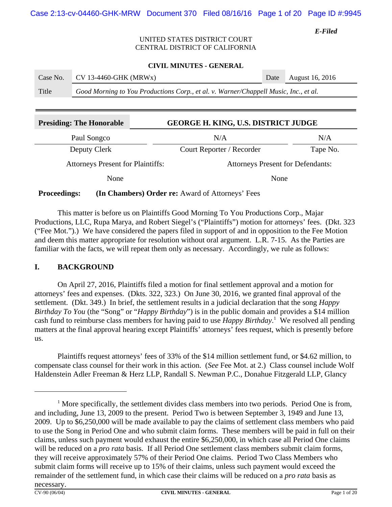## UNITED STATES DISTRICT COURT CENTRAL DISTRICT OF CALIFORNIA

#### **CIVIL MINUTES - GENERAL**

| Case No. | $CV$ 13-4460-GHK (MRWx)                                                              | Date August 16, 2016 |
|----------|--------------------------------------------------------------------------------------|----------------------|
| Title    | Good Morning to You Productions Corp., et al. v. Warner/Chappell Music, Inc., et al. |                      |

| <b>Presiding: The Honorable</b>          |  | <b>GEORGE H. KING, U.S. DISTRICT JUDGE</b> |          |  |  |
|------------------------------------------|--|--------------------------------------------|----------|--|--|
| Paul Songco                              |  | N/A                                        | N/A      |  |  |
| Deputy Clerk                             |  | Court Reporter / Recorder                  | Tape No. |  |  |
| <b>Attorneys Present for Plaintiffs:</b> |  | <b>Attorneys Present for Defendants:</b>   |          |  |  |
| None                                     |  | None                                       |          |  |  |

#### **Proceedings: (In Chambers) Order re:** Award of Attorneys' Fees

This matter is before us on Plaintiffs Good Morning To You Productions Corp., Majar Productions, LLC, Rupa Marya, and Robert Siegel's ("Plaintiffs") motion for attorneys' fees. (Dkt. 323 ("Fee Mot.").) We have considered the papers filed in support of and in opposition to the Fee Motion and deem this matter appropriate for resolution without oral argument. L.R. 7-15. As the Parties are familiar with the facts, we will repeat them only as necessary. Accordingly, we rule as follows:

### **I. BACKGROUND**

On April 27, 2016, Plaintiffs filed a motion for final settlement approval and a motion for attorneys' fees and expenses. (Dkts. 322, 323.) On June 30, 2016, we granted final approval of the settlement. (Dkt. 349.) In brief, the settlement results in a judicial declaration that the song *Happy Birthday To You* (the "Song" or "*Happy Birthday*") is in the public domain and provides a \$14 million cash fund to reimburse class members for having paid to use *Happy Birthday*. 1 We resolved all pending matters at the final approval hearing except Plaintiffs' attorneys' fees request, which is presently before us.

Plaintiffs request attorneys' fees of 33% of the \$14 million settlement fund, or \$4.62 million, to compensate class counsel for their work in this action. (*See* Fee Mot. at 2.) Class counsel include Wolf Haldenstein Adler Freeman & Herz LLP, Randall S. Newman P.C., Donahue Fitzgerald LLP, Glancy

 $<sup>1</sup>$  More specifically, the settlement divides class members into two periods. Period One is from,</sup> and including, June 13, 2009 to the present. Period Two is between September 3, 1949 and June 13, 2009. Up to \$6,250,000 will be made available to pay the claims of settlement class members who paid to use the Song in Period One and who submit claim forms. These members will be paid in full on their claims, unless such payment would exhaust the entire \$6,250,000, in which case all Period One claims will be reduced on a *pro rata* basis. If all Period One settlement class members submit claim forms, they will receive approximately 57% of their Period One claims. Period Two Class Members who submit claim forms will receive up to 15% of their claims, unless such payment would exceed the remainder of the settlement fund, in which case their claims will be reduced on a *pro rata* basis as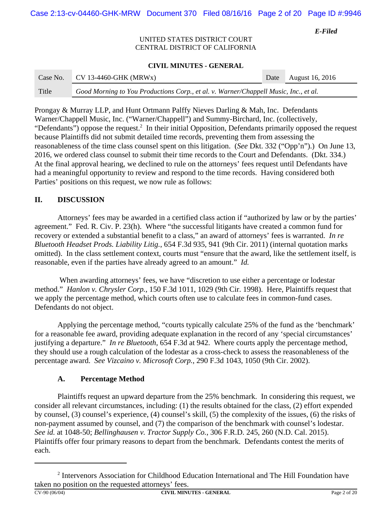Case 2:13-cv-04460-GHK-MRW Document 370 Filed 08/16/16 Page 2 of 20 Page ID #:9946

*E-Filed*

### UNITED STATES DISTRICT COURT CENTRAL DISTRICT OF CALIFORNIA

### **CIVIL MINUTES - GENERAL**

| Case No. | $CV$ 13-4460-GHK (MRWx)                                                              | Date August 16, 2016 |
|----------|--------------------------------------------------------------------------------------|----------------------|
| Title    | Good Morning to You Productions Corp., et al. v. Warner/Chappell Music, Inc., et al. |                      |

Prongay & Murray LLP, and Hunt Ortmann Palffy Nieves Darling & Mah, Inc. Defendants Warner/Chappell Music, Inc. ("Warner/Chappell") and Summy-Birchard, Inc. (collectively, "Defendants") oppose the request.<sup>2</sup> In their initial Opposition, Defendants primarily opposed the request because Plaintiffs did not submit detailed time records, preventing them from assessing the reasonableness of the time class counsel spent on this litigation. (*See* Dkt. 332 ("Opp'n").) On June 13, 2016, we ordered class counsel to submit their time records to the Court and Defendants. (Dkt. 334.) At the final approval hearing, we declined to rule on the attorneys' fees request until Defendants have had a meaningful opportunity to review and respond to the time records. Having considered both Parties' positions on this request, we now rule as follows:

## **II. DISCUSSION**

Attorneys' fees may be awarded in a certified class action if "authorized by law or by the parties' agreement." Fed. R. Civ. P. 23(h). Where "the successful litigants have created a common fund for recovery or extended a substantial benefit to a class," an award of attorneys' fees is warranted. *In re Bluetooth Headset Prods. Liability Litig.*, 654 F.3d 935, 941 (9th Cir. 2011) (internal quotation marks omitted). In the class settlement context, courts must "ensure that the award, like the settlement itself, is reasonable, even if the parties have already agreed to an amount." *Id.* 

 When awarding attorneys' fees, we have "discretion to use either a percentage or lodestar method." *Hanlon v. Chrysler Corp.*, 150 F.3d 1011, 1029 (9th Cir. 1998). Here, Plaintiffs request that we apply the percentage method, which courts often use to calculate fees in common-fund cases. Defendants do not object.

Applying the percentage method, "courts typically calculate 25% of the fund as the 'benchmark' for a reasonable fee award, providing adequate explanation in the record of any 'special circumstances' justifying a departure." *In re Bluetooth*, 654 F.3d at 942. Where courts apply the percentage method, they should use a rough calculation of the lodestar as a cross-check to assess the reasonableness of the percentage award. *See Vizcaino v. Microsoft Corp.*, 290 F.3d 1043, 1050 (9th Cir. 2002).

# **A. Percentage Method**

Plaintiffs request an upward departure from the 25% benchmark. In considering this request, we consider all relevant circumstances, including: (1) the results obtained for the class, (2) effort expended by counsel, (3) counsel's experience, (4) counsel's skill, (5) the complexity of the issues, (6) the risks of non-payment assumed by counsel, and (7) the comparison of the benchmark with counsel's lodestar. *See id.* at 1048-50; *Bellinghausen v. Tractor Supply Co.*, 306 F.R.D. 245, 260 (N.D. Cal. 2015). Plaintiffs offer four primary reasons to depart from the benchmark. Defendants contest the merits of each.

<sup>&</sup>lt;sup>2</sup> Intervenors Association for Childhood Education International and The Hill Foundation have taken no position on the requested attorneys' fees.<br> $CV-90(06/04)$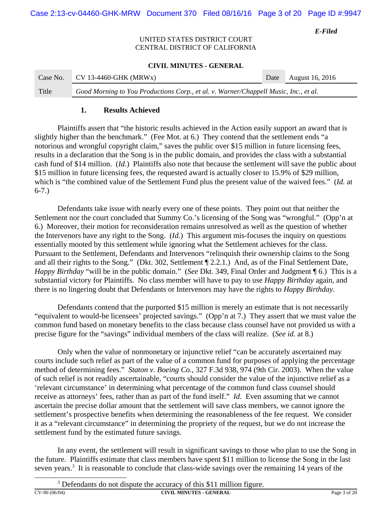## UNITED STATES DISTRICT COURT CENTRAL DISTRICT OF CALIFORNIA

#### **CIVIL MINUTES - GENERAL**

| Case No. | $CV$ 13-4460-GHK (MRWx)                                                              | Date August 16, 2016 |
|----------|--------------------------------------------------------------------------------------|----------------------|
| Title    | Good Morning to You Productions Corp., et al. v. Warner/Chappell Music, Inc., et al. |                      |

## **1. Results Achieved**

Plaintiffs assert that "the historic results achieved in the Action easily support an award that is slightly higher than the benchmark." (Fee Mot. at 6.) They contend that the settlement ends "a notorious and wrongful copyright claim," saves the public over \$15 million in future licensing fees, results in a declaration that the Song is in the public domain, and provides the class with a substantial cash fund of \$14 million. (*Id.*) Plaintiffs also note that because the settlement will save the public about \$15 million in future licensing fees, the requested award is actually closer to 15.9% of \$29 million, which is "the combined value of the Settlement Fund plus the present value of the waived fees." (*Id.* at 6-7.)

Defendants take issue with nearly every one of these points. They point out that neither the Settlement nor the court concluded that Summy Co.'s licensing of the Song was "wrongful." (Opp'n at 6.) Moreover, their motion for reconsideration remains unresolved as well as the question of whether the Intervenors have any right to the Song. (*Id.*) This argument mis-focuses the inquiry on questions essentially mooted by this settlement while ignoring what the Settlement achieves for the class. Pursuant to the Settlement, Defendants and Intervenors "relinquish their ownership claims to the Song and all their rights to the Song." (Dkt. 302, Settlement ¶ 2.2.1.) And, as of the Final Settlement Date, *Happy Birthday* "will be in the public domain." (*See* Dkt. 349, Final Order and Judgment ¶ 6.) This is a substantial victory for Plaintiffs. No class member will have to pay to use *Happy Birthday* again, and there is no lingering doubt that Defendants or Intervenors may have the rights to *Happy Birthday*.

Defendants contend that the purported \$15 million is merely an estimate that is not necessarily "equivalent to would-be licensees' projected savings." (Opp'n at 7.) They assert that we must value the common fund based on monetary benefits to the class because class counsel have not provided us with a precise figure for the "savings" individual members of the class will realize. (*See id.* at 8.)

Only when the value of nonmonetary or injunctive relief "can be accurately ascertained may courts include such relief as part of the value of a common fund for purposes of applying the percentage method of determining fees." *Staton v. Boeing Co.*, 327 F.3d 938, 974 (9th Cir. 2003). When the value of such relief is not readily ascertainable, "courts should consider the value of the injunctive relief as a 'relevant circumstance' in determining what percentage of the common fund class counsel should receive as attorneys' fees, rather than as part of the fund itself." *Id.* Even assuming that we cannot ascertain the precise dollar amount that the settlement will save class members, we cannot ignore the settlement's prospective benefits when determining the reasonableness of the fee request. We consider it as a "relevant circumstance" in determining the propriety of the request, but we do not increase the settlement fund by the estimated future savings.

In any event, the settlement will result in significant savings to those who plan to use the Song in the future. Plaintiffs estimate that class members have spent \$11 million to license the Song in the last seven years.<sup>3</sup> It is reasonable to conclude that class-wide savings over the remaining 14 years of the

**CV-90 (06/04) CIVIL MINUTES - GENERAL** Page 3 of 20

 $3$  Defendants do not dispute the accuracy of this \$11 million figure.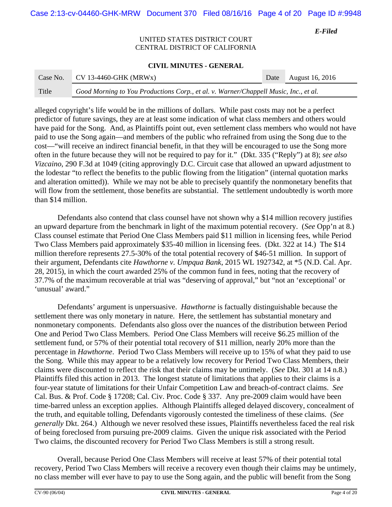Case 2:13-cv-04460-GHK-MRW Document 370 Filed 08/16/16 Page 4 of 20 Page ID #:9948

*E-Filed*

### UNITED STATES DISTRICT COURT CENTRAL DISTRICT OF CALIFORNIA

#### **CIVIL MINUTES - GENERAL**

| Case No. | $CV$ 13-4460-GHK (MRWx)                                                              | Date August 16, 2016 |
|----------|--------------------------------------------------------------------------------------|----------------------|
| Title    | Good Morning to You Productions Corp., et al. v. Warner/Chappell Music, Inc., et al. |                      |

alleged copyright's life would be in the millions of dollars. While past costs may not be a perfect predictor of future savings, they are at least some indication of what class members and others would have paid for the Song. And, as Plaintiffs point out, even settlement class members who would not have paid to use the Song again—and members of the public who refrained from using the Song due to the cost—"will receive an indirect financial benefit, in that they will be encouraged to use the Song more often in the future because they will not be required to pay for it." (Dkt. 335 ("Reply") at 8); *see also Vizcaino*, 290 F.3d at 1049 (citing approvingly D.C. Circuit case that allowed an upward adjustment to the lodestar "to reflect the benefits to the public flowing from the litigation" (internal quotation marks and alteration omitted)). While we may not be able to precisely quantify the nonmonetary benefits that will flow from the settlement, those benefits are substantial. The settlement undoubtedly is worth more than \$14 million.

Defendants also contend that class counsel have not shown why a \$14 million recovery justifies an upward departure from the benchmark in light of the maximum potential recovery. (*See* Opp'n at 8.) Class counsel estimate that Period One Class Members paid \$11 million in licensing fees, while Period Two Class Members paid approximately \$35-40 million in licensing fees. (Dkt. 322 at 14.) The \$14 million therefore represents 27.5-30% of the total potential recovery of \$46-51 million. In support of their argument, Defendants cite *Hawthorne v. Umpqua Bank*, 2015 WL 1927342, at \*5 (N.D. Cal. Apr. 28, 2015), in which the court awarded 25% of the common fund in fees, noting that the recovery of 37.7% of the maximum recoverable at trial was "deserving of approval," but "not an 'exceptional' or 'unusual' award."

Defendants' argument is unpersuasive. *Hawthorne* is factually distinguishable because the settlement there was only monetary in nature. Here, the settlement has substantial monetary and nonmonetary components. Defendants also gloss over the nuances of the distribution between Period One and Period Two Class Members. Period One Class Members will receive \$6.25 million of the settlement fund, or 57% of their potential total recovery of \$11 million, nearly 20% more than the percentage in *Hawthorne*. Period Two Class Members will receive up to 15% of what they paid to use the Song. While this may appear to be a relatively low recovery for Period Two Class Members, their claims were discounted to reflect the risk that their claims may be untimely. (*See* Dkt. 301 at 14 n.8.) Plaintiffs filed this action in 2013. The longest statute of limitations that applies to their claims is a four-year statute of limitations for their Unfair Competition Law and breach-of-contract claims. *See* Cal. Bus. & Prof. Code § 17208; Cal. Civ. Proc. Code § 337. Any pre-2009 claim would have been time-barred unless an exception applies. Although Plaintiffs alleged delayed discovery, concealment of the truth, and equitable tolling, Defendants vigorously contested the timeliness of these claims. (*See generally* Dkt. 264.) Although we never resolved these issues, Plaintiffs nevertheless faced the real risk of being foreclosed from pursuing pre-2009 claims. Given the unique risk associated with the Period Two claims, the discounted recovery for Period Two Class Members is still a strong result.

Overall, because Period One Class Members will receive at least 57% of their potential total recovery, Period Two Class Members will receive a recovery even though their claims may be untimely, no class member will ever have to pay to use the Song again, and the public will benefit from the Song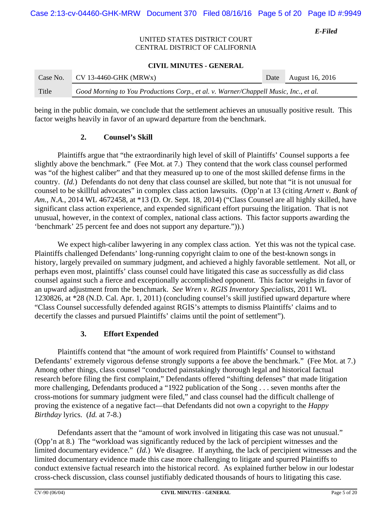## UNITED STATES DISTRICT COURT CENTRAL DISTRICT OF CALIFORNIA

#### **CIVIL MINUTES - GENERAL**

| Case No. | CV 13-4460-GHK (MRWx)                                                                | Date August 16, 2016 |
|----------|--------------------------------------------------------------------------------------|----------------------|
| Title    | Good Morning to You Productions Corp., et al. v. Warner/Chappell Music, Inc., et al. |                      |

being in the public domain, we conclude that the settlement achieves an unusually positive result. This factor weighs heavily in favor of an upward departure from the benchmark.

## **2. Counsel's Skill**

Plaintiffs argue that "the extraordinarily high level of skill of Plaintiffs' Counsel supports a fee slightly above the benchmark." (Fee Mot. at 7.) They contend that the work class counsel performed was "of the highest caliber" and that they measured up to one of the most skilled defense firms in the country. (*Id.*) Defendants do not deny that class counsel are skilled, but note that "it is not unusual for counsel to be skillful advocates" in complex class action lawsuits. (Opp'n at 13 (citing *Arnett v. Bank of Am., N.A.*, 2014 WL 4672458, at \*13 (D. Or. Sept. 18, 2014) ("Class Counsel are all highly skilled, have significant class action experience, and expended significant effort pursuing the litigation. That is not unusual, however, in the context of complex, national class actions. This factor supports awarding the 'benchmark' 25 percent fee and does not support any departure.")).)

We expect high-caliber lawyering in any complex class action. Yet this was not the typical case. Plaintiffs challenged Defendants' long-running copyright claim to one of the best-known songs in history, largely prevailed on summary judgment, and achieved a highly favorable settlement. Not all, or perhaps even most, plaintiffs' class counsel could have litigated this case as successfully as did class counsel against such a fierce and exceptionally accomplished opponent. This factor weighs in favor of an upward adjustment from the benchmark. *See Wren v. RGIS Inventory Specialists*, 2011 WL 1230826, at \*28 (N.D. Cal. Apr. 1, 2011) (concluding counsel's skill justified upward departure where "Class Counsel successfully defended against RGIS's attempts to dismiss Plaintiffs' claims and to decertify the classes and pursued Plaintiffs' claims until the point of settlement").

## **3. Effort Expended**

Plaintiffs contend that "the amount of work required from Plaintiffs' Counsel to withstand Defendants' extremely vigorous defense strongly supports a fee above the benchmark." (Fee Mot. at 7.) Among other things, class counsel "conducted painstakingly thorough legal and historical factual research before filing the first complaint," Defendants offered "shifting defenses" that made litigation more challenging, Defendants produced a "1922 publication of the Song . . . seven months after the cross-motions for summary judgment were filed," and class counsel had the difficult challenge of proving the existence of a negative fact—that Defendants did not own a copyright to the *Happy Birthday* lyrics. (*Id.* at 7-8.)

Defendants assert that the "amount of work involved in litigating this case was not unusual." (Opp'n at 8.) The "workload was significantly reduced by the lack of percipient witnesses and the limited documentary evidence." (*Id.*) We disagree. If anything, the lack of percipient witnesses and the limited documentary evidence made this case more challenging to litigate and spurred Plaintiffs to conduct extensive factual research into the historical record. As explained further below in our lodestar cross-check discussion, class counsel justifiably dedicated thousands of hours to litigating this case.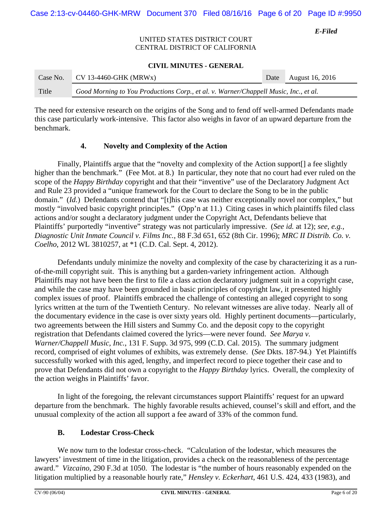## UNITED STATES DISTRICT COURT CENTRAL DISTRICT OF CALIFORNIA

#### **CIVIL MINUTES - GENERAL**

| Case No. | $CV$ 13-4460-GHK (MRWx)                                                              | Date August 16, 2016 |
|----------|--------------------------------------------------------------------------------------|----------------------|
| Title    | Good Morning to You Productions Corp., et al. v. Warner/Chappell Music, Inc., et al. |                      |

The need for extensive research on the origins of the Song and to fend off well-armed Defendants made this case particularly work-intensive. This factor also weighs in favor of an upward departure from the benchmark.

## **4. Novelty and Complexity of the Action**

Finally, Plaintiffs argue that the "novelty and complexity of the Action support[] a fee slightly higher than the benchmark." (Fee Mot. at 8.) In particular, they note that no court had ever ruled on the scope of the *Happy Birthday* copyright and that their "inventive" use of the Declaratory Judgment Act and Rule 23 provided a "unique framework for the Court to declare the Song to be in the public domain." *(Id.)* Defendants contend that "[t]his case was neither exceptionally novel nor complex," but mostly "involved basic copyright principles." (Opp'n at 11.) Citing cases in which plaintiffs filed class actions and/or sought a declaratory judgment under the Copyright Act, Defendants believe that Plaintiffs' purportedly "inventive" strategy was not particularly impressive. (*See id.* at 12); *see, e.g.*, *Diagnostic Unit Inmate Council v. Films Inc.*, 88 F.3d 651, 652 (8th Cir. 1996); *MRC II Distrib. Co. v. Coelho*, 2012 WL 3810257, at \*1 (C.D. Cal. Sept. 4, 2012).

Defendants unduly minimize the novelty and complexity of the case by characterizing it as a runof-the-mill copyright suit. This is anything but a garden-variety infringement action. Although Plaintiffs may not have been the first to file a class action declaratory judgment suit in a copyright case, and while the case may have been grounded in basic principles of copyright law, it presented highly complex issues of proof. Plaintiffs embraced the challenge of contesting an alleged copyright to song lyrics written at the turn of the Twentieth Century. No relevant witnesses are alive today. Nearly all of the documentary evidence in the case is over sixty years old. Highly pertinent documents—particularly, two agreements between the Hill sisters and Summy Co. and the deposit copy to the copyright registration that Defendants claimed covered the lyrics—were never found. *See Marya v. Warner/Chappell Music, Inc.*, 131 F. Supp. 3d 975, 999 (C.D. Cal. 2015).The summary judgment record, comprised of eight volumes of exhibits, was extremely dense. (*See* Dkts. 187-94.) Yet Plaintiffs successfully worked with this aged, lengthy, and imperfect record to piece together their case and to prove that Defendants did not own a copyright to the *Happy Birthday* lyrics. Overall, the complexity of the action weighs in Plaintiffs' favor.

In light of the foregoing, the relevant circumstances support Plaintiffs' request for an upward departure from the benchmark. The highly favorable results achieved, counsel's skill and effort, and the unusual complexity of the action all support a fee award of 33% of the common fund.

## **B. Lodestar Cross-Check**

We now turn to the lodestar cross-check. "Calculation of the lodestar, which measures the lawyers' investment of time in the litigation, provides a check on the reasonableness of the percentage award." *Vizcaino*, 290 F.3d at 1050. The lodestar is "the number of hours reasonably expended on the litigation multiplied by a reasonable hourly rate," *Hensley v. Eckerhart*, 461 U.S. 424, 433 (1983), and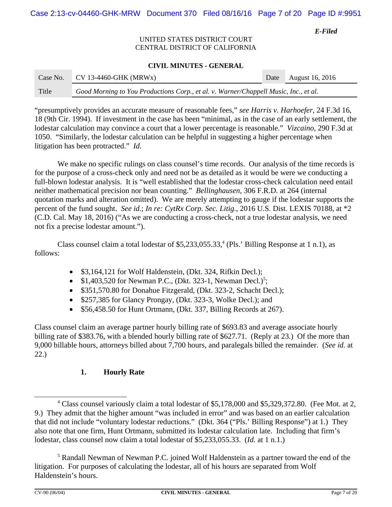## UNITED STATES DISTRICT COURT CENTRAL DISTRICT OF CALIFORNIA

#### **CIVIL MINUTES - GENERAL**

| Case No. | $CV$ 13-4460-GHK (MRWx)                                                              | Date August 16, 2016 |
|----------|--------------------------------------------------------------------------------------|----------------------|
| Title    | Good Morning to You Productions Corp., et al. v. Warner/Chappell Music, Inc., et al. |                      |

"presumptively provides an accurate measure of reasonable fees," *see Harris v. Harhoefer*, 24 F.3d 16, 18 (9th Cir. 1994). If investment in the case has been "minimal, as in the case of an early settlement, the lodestar calculation may convince a court that a lower percentage is reasonable." *Vizcaino*, 290 F.3d at 1050. "Similarly, the lodestar calculation can be helpful in suggesting a higher percentage when litigation has been protracted." *Id.*

We make no specific rulings on class counsel's time records. Our analysis of the time records is for the purpose of a cross-check only and need not be as detailed as it would be were we conducting a full-blown lodestar analysis. It is "well established that the lodestar cross-check calculation need entail neither mathematical precision nor bean counting." *Bellinghausen*, 306 F.R.D. at 264 (internal quotation marks and alteration omitted). We are merely attempting to gauge if the lodestar supports the percent of the fund sought. *See id.*; *In re: CytRx Corp. Sec. Litig.*, 2016 U.S. Dist. LEXIS 70188, at \*2 (C.D. Cal. May 18, 2016) ("As we are conducting a cross-check, not a true lodestar analysis, we need not fix a precise lodestar amount.").

Class counsel claim a total lodestar of  $$5,233,055.33<sup>4</sup>$  (Pls.' Billing Response at 1 n.1), as follows:

- \$3,164,121 for Wolf Haldenstein, (Dkt. 324, Rifkin Decl.);
- \$1,403,520 for Newman P.C., (Dkt. 323-1, Newman Decl.)<sup>5</sup>;
- \$351,570.80 for Donahue Fitzgerald, (Dkt. 323-2, Schacht Decl.);
- \$257,385 for Glancy Prongay, (Dkt. 323-3, Wolke Decl.); and
- \$56,458.50 for Hunt Ortmann, (Dkt. 337, Billing Records at 267).

Class counsel claim an average partner hourly billing rate of \$693.83 and average associate hourly billing rate of \$383.76, with a blended hourly billing rate of \$627.71. (Reply at 23.) Of the more than 9,000 billable hours, attorneys billed about 7,700 hours, and paralegals billed the remainder. (*See id.* at 22.)

# **1. Hourly Rate**

<sup>&</sup>lt;sup>4</sup> Class counsel variously claim a total lodestar of \$5,178,000 and \$5,329,372.80. (Fee Mot. at 2, 9.) They admit that the higher amount "was included in error" and was based on an earlier calculation that did not include "voluntary lodestar reductions." (Dkt. 364 ("Pls.' Billing Response") at 1.) They also note that one firm, Hunt Ortmann, submitted its lodestar calculation late. Including that firm's lodestar, class counsel now claim a total lodestar of \$5,233,055.33. (*Id.* at 1 n.1.)

<sup>&</sup>lt;sup>5</sup> Randall Newman of Newman P.C. joined Wolf Haldenstein as a partner toward the end of the litigation. For purposes of calculating the lodestar, all of his hours are separated from Wolf Haldenstein's hours.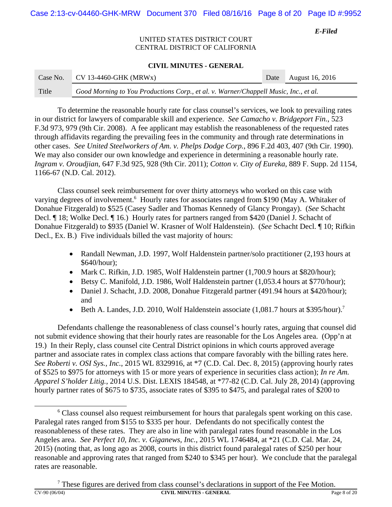## UNITED STATES DISTRICT COURT CENTRAL DISTRICT OF CALIFORNIA

### **CIVIL MINUTES - GENERAL**

| Case No. | $CV$ 13-4460-GHK (MRWx)                                                              | Date August 16, 2016 |
|----------|--------------------------------------------------------------------------------------|----------------------|
| Title    | Good Morning to You Productions Corp., et al. v. Warner/Chappell Music, Inc., et al. |                      |

To determine the reasonable hourly rate for class counsel's services, we look to prevailing rates in our district for lawyers of comparable skill and experience. *See Camacho v. Bridgeport Fin.*, 523 F.3d 973, 979 (9th Cir. 2008). A fee applicant may establish the reasonableness of the requested rates through affidavits regarding the prevailing fees in the community and through rate determinations in other cases. *See United Steelworkers of Am. v. Phelps Dodge Corp.*, 896 F.2d 403, 407 (9th Cir. 1990). We may also consider our own knowledge and experience in determining a reasonable hourly rate. *Ingram v. Oroudjian*, 647 F.3d 925, 928 (9th Cir. 2011); *Cotton v. City of Eureka*, 889 F. Supp. 2d 1154, 1166-67 (N.D. Cal. 2012).

Class counsel seek reimbursement for over thirty attorneys who worked on this case with varying degrees of involvement.<sup>6</sup> Hourly rates for associates ranged from \$190 (May A. Whitaker of Donahue Fitzgerald) to \$525 (Casey Sadler and Thomas Kennedy of Glancy Prongay). (*See* Schacht Decl. ¶ 18; Wolke Decl. ¶ 16.) Hourly rates for partners ranged from \$420 (Daniel J. Schacht of Donahue Fitzgerald) to \$935 (Daniel W. Krasner of Wolf Haldenstein). (*See* Schacht Decl. ¶ 10; Rifkin Decl., Ex. B.) Five individuals billed the vast majority of hours:

- Randall Newman, J.D. 1997, Wolf Haldenstein partner/solo practitioner (2,193 hours at \$640/hour);
- Mark C. Rifkin, J.D. 1985, Wolf Haldenstein partner (1,700.9 hours at \$820/hour);
- Betsy C. Manifold, J.D. 1986, Wolf Haldenstein partner (1,053.4 hours at \$770/hour);
- Daniel J. Schacht, J.D. 2008, Donahue Fitzgerald partner (491.94 hours at \$420/hour); and
- Beth A. Landes, J.D. 2010, Wolf Haldenstein associate  $(1,081.7 \text{ hours at } $395\text{/hour})$ .<sup>7</sup>

Defendants challenge the reasonableness of class counsel's hourly rates, arguing that counsel did not submit evidence showing that their hourly rates are reasonable for the Los Angeles area. (Opp'n at 19.) In their Reply, class counsel cite Central District opinions in which courts approved average partner and associate rates in complex class actions that compare favorably with the billing rates here. *See Roberti v. OSI Sys., Inc.*, 2015 WL 8329916, at \*7 (C.D. Cal. Dec. 8, 2015) (approving hourly rates of \$525 to \$975 for attorneys with 15 or more years of experience in securities class action); *In re Am. Apparel S'holder Litig.*, 2014 U.S. Dist. LEXIS 184548, at \*77-82 (C.D. Cal. July 28, 2014) (approving hourly partner rates of \$675 to \$735, associate rates of \$395 to \$475, and paralegal rates of \$200 to

<sup>&</sup>lt;sup>6</sup> Class counsel also request reimbursement for hours that paralegals spent working on this case. Paralegal rates ranged from \$155 to \$335 per hour. Defendants do not specifically contest the reasonableness of these rates. They are also in line with paralegal rates found reasonable in the Los Angeles area. *See Perfect 10, Inc. v. Giganews, Inc.*, 2015 WL 1746484, at \*21 (C.D. Cal. Mar. 24, 2015) (noting that, as long ago as 2008, courts in this district found paralegal rates of \$250 per hour reasonable and approving rates that ranged from \$240 to \$345 per hour). We conclude that the paralegal rates are reasonable.

<sup>7</sup> These figures are derived from class counsel's declarations in support of the Fee Motion. **CIVIL MINUTES - GENERAL Page 8 of 20**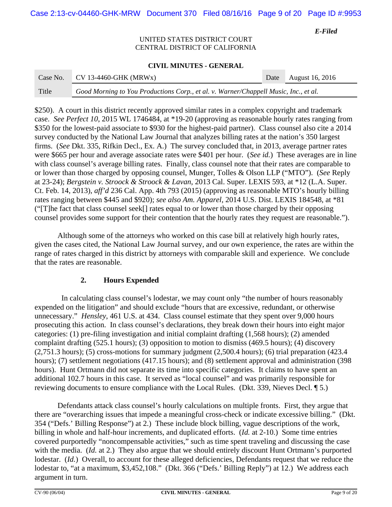Case 2:13-cv-04460-GHK-MRW Document 370 Filed 08/16/16 Page 9 of 20 Page ID #:9953

*E-Filed*

### UNITED STATES DISTRICT COURT CENTRAL DISTRICT OF CALIFORNIA

#### **CIVIL MINUTES - GENERAL**

| Case No. | $CV$ 13-4460-GHK (MRWx)                                                              | Date August 16, 2016 |
|----------|--------------------------------------------------------------------------------------|----------------------|
| Title    | Good Morning to You Productions Corp., et al. v. Warner/Chappell Music, Inc., et al. |                      |

\$250). A court in this district recently approved similar rates in a complex copyright and trademark case. *See Perfect 10*, 2015 WL 1746484, at \*19-20 (approving as reasonable hourly rates ranging from \$350 for the lowest-paid associate to \$930 for the highest-paid partner). Class counsel also cite a 2014 survey conducted by the National Law Journal that analyzes billing rates at the nation's 350 largest firms. (*See* Dkt. 335, Rifkin Decl., Ex. A.) The survey concluded that, in 2013, average partner rates were \$665 per hour and average associate rates were \$401 per hour. (*See id.*) These averages are in line with class counsel's average billing rates. Finally, class counsel note that their rates are comparable to or lower than those charged by opposing counsel, Munger, Tolles & Olson LLP ("MTO"). (*See* Reply at 23-24); *Bergstein v. Stroock & Stroock & Lavan*, 2013 Cal. Super. LEXIS 593, at \*12 (L.A. Super. Ct. Feb. 14, 2013), *aff'd* 236 Cal. App. 4th 793 (2015) (approving as reasonable MTO's hourly billing rates ranging between \$445 and \$920); *see also Am. Apparel*, 2014 U.S. Dist. LEXIS 184548, at \*81 ("[T]he fact that class counsel seek[] rates equal to or lower than those charged by their opposing counsel provides some support for their contention that the hourly rates they request are reasonable.").

Although some of the attorneys who worked on this case bill at relatively high hourly rates, given the cases cited, the National Law Journal survey, and our own experience, the rates are within the range of rates charged in this district by attorneys with comparable skill and experience. We conclude that the rates are reasonable.

## **2. Hours Expended**

 In calculating class counsel's lodestar, we may count only "the number of hours reasonably expended on the litigation" and should exclude "hours that are excessive, redundant, or otherwise unnecessary." *Hensley*, 461 U.S. at 434. Class counsel estimate that they spent over 9,000 hours prosecuting this action. In class counsel's declarations, they break down their hours into eight major categories: (1) pre-filing investigation and initial complaint drafting (1,568 hours); (2) amended complaint drafting (525.1 hours); (3) opposition to motion to dismiss (469.5 hours); (4) discovery (2,751.3 hours); (5) cross-motions for summary judgment (2,500.4 hours); (6) trial preparation (423.4 hours); (7) settlement negotiations (417.15 hours); and (8) settlement approval and administration (398) hours). Hunt Ortmann did not separate its time into specific categories. It claims to have spent an additional 102.7 hours in this case. It served as "local counsel" and was primarily responsible for reviewing documents to ensure compliance with the Local Rules. (Dkt. 339, Nieves Decl. ¶ 5.)

Defendants attack class counsel's hourly calculations on multiple fronts. First, they argue that there are "overarching issues that impede a meaningful cross-check or indicate excessive billing." (Dkt. 354 ("Defs.' Billing Response") at 2.) These include block billing, vague descriptions of the work, billing in whole and half-hour increments, and duplicated efforts. (*Id.* at 2-10.) Some time entries covered purportedly "noncompensable activities," such as time spent traveling and discussing the case with the media. (*Id.* at 2.) They also argue that we should entirely discount Hunt Ortmann's purported lodestar. (*Id.*) Overall, to account for these alleged deficiencies, Defendants request that we reduce the lodestar to, "at a maximum, \$3,452,108." (Dkt. 366 ("Defs.' Billing Reply") at 12.) We address each argument in turn.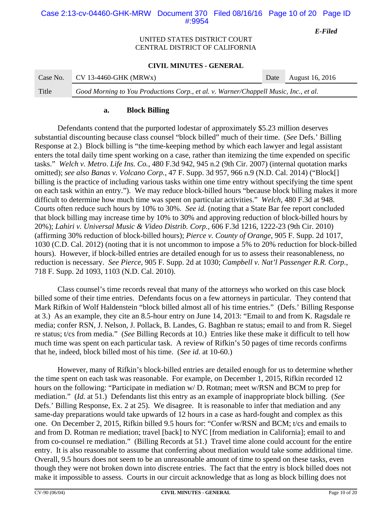## Case 2:13-cv-04460-GHK-MRW Document 370 Filed 08/16/16 Page 10 of 20 Page ID #:9954

*E-Filed*

## UNITED STATES DISTRICT COURT CENTRAL DISTRICT OF CALIFORNIA

### **CIVIL MINUTES - GENERAL**

| Case No. | CV 13-4460-GHK (MRWx)                                                                | Date August 16, 2016 |
|----------|--------------------------------------------------------------------------------------|----------------------|
| Title    | Good Morning to You Productions Corp., et al. v. Warner/Chappell Music, Inc., et al. |                      |

### **a. Block Billing**

Defendants contend that the purported lodestar of approximately \$5.23 million deserves substantial discounting because class counsel "block billed" much of their time. (*See* Defs.' Billing Response at 2.) Block billing is "the time-keeping method by which each lawyer and legal assistant enters the total daily time spent working on a case, rather than itemizing the time expended on specific tasks." *Welch v. Metro*. *Life Ins. Co.*, 480 F.3d 942, 945 n.2 (9th Cir. 2007) (internal quotation marks omitted); *see also Banas v. Volcano Corp.*, 47 F. Supp. 3d 957, 966 n.9 (N.D. Cal. 2014) ("Block[] billing is the practice of including various tasks within one time entry without specifying the time spent on each task within an entry."). We may reduce block-billed hours "because block billing makes it more difficult to determine how much time was spent on particular activities." *Welch*, 480 F.3d at 948. Courts often reduce such hours by 10% to 30%. *See id.* (noting that a State Bar fee report concluded that block billing may increase time by 10% to 30% and approving reduction of block-billed hours by 20%); *Lahiri v. Universal Music & Video Distrib. Corp.*, 606 F.3d 1216, 1222-23 (9th Cir. 2010) (affirming 30% reduction of block-billed hours); *Pierce v. County of Orange*, 905 F. Supp. 2d 1017, 1030 (C.D. Cal. 2012) (noting that it is not uncommon to impose a 5% to 20% reduction for block-billed hours). However, if block-billed entries are detailed enough for us to assess their reasonableness, no reduction is necessary. *See Pierce*, 905 F. Supp. 2d at 1030; *Campbell v. Nat'l Passenger R.R. Corp.*, 718 F. Supp. 2d 1093, 1103 (N.D. Cal. 2010).

Class counsel's time records reveal that many of the attorneys who worked on this case block billed some of their time entries. Defendants focus on a few attorneys in particular. They contend that Mark Rifkin of Wolf Haldenstein "block billed almost all of his time entries." (Defs.' Billing Response at 3.) As an example, they cite an 8.5-hour entry on June 14, 2013: "Email to and from K. Ragsdale re media; confer RSN, J. Nelson, J. Pollack, B. Landes, G. Baghban re status; email to and from R. Siegel re status; t/cs from media." (*See* Billing Records at 10.) Entries like these make it difficult to tell how much time was spent on each particular task. A review of Rifkin's 50 pages of time records confirms that he, indeed, block billed most of his time. (*See id.* at 10-60.)

However, many of Rifkin's block-billed entries are detailed enough for us to determine whether the time spent on each task was reasonable. For example, on December 1, 2015, Rifkin recorded 12 hours on the following: "Participate in mediation w/ D. Rotman; meet w/RSN and BCM to prep for mediation." (*Id.* at 51.) Defendants list this entry as an example of inappropriate block billing. (*See* Defs.' Billing Response, Ex. 2 at 25). We disagree. It is reasonable to infer that mediation and any same-day preparations would take upwards of 12 hours in a case as hard-fought and complex as this one. On December 2, 2015, Rifkin billed 9.5 hours for: "Confer w/RSN and BCM; t/cs and emails to and from D. Rotman re mediation; travel [back] to NYC [from mediation in California]; email to and from co-counsel re mediation." (Billing Records at 51.) Travel time alone could account for the entire entry. It is also reasonable to assume that conferring about mediation would take some additional time. Overall, 9.5 hours does not seem to be an unreasonable amount of time to spend on these tasks, even though they were not broken down into discrete entries. The fact that the entry is block billed does not make it impossible to assess. Courts in our circuit acknowledge that as long as block billing does not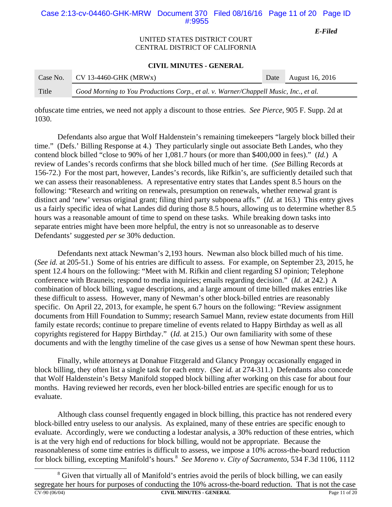## Case 2:13-cv-04460-GHK-MRW Document 370 Filed 08/16/16 Page 11 of 20 Page ID #:9955

*E-Filed*

## UNITED STATES DISTRICT COURT CENTRAL DISTRICT OF CALIFORNIA

#### **CIVIL MINUTES - GENERAL**

| Case No. | $CV$ 13-4460-GHK (MRWx)                                                              | Date August 16, 2016 |
|----------|--------------------------------------------------------------------------------------|----------------------|
| Title    | Good Morning to You Productions Corp., et al. v. Warner/Chappell Music, Inc., et al. |                      |

obfuscate time entries, we need not apply a discount to those entries. *See Pierce*, 905 F. Supp. 2d at 1030.

Defendants also argue that Wolf Haldenstein's remaining timekeepers "largely block billed their time." (Defs.' Billing Response at 4.) They particularly single out associate Beth Landes, who they contend block billed "close to 90% of her 1,081.7 hours (or more than \$400,000 in fees)." (*Id.*) A review of Landes's records confirms that she block billed much of her time. (*See* Billing Records at 156-72.) For the most part, however, Landes's records, like Rifkin's, are sufficiently detailed such that we can assess their reasonableness. A representative entry states that Landes spent 8.5 hours on the following: "Research and writing on renewals, presumption on renewals, whether renewal grant is distinct and 'new' versus original grant; filing third party subpoena affs." (*Id.* at 163.) This entry gives us a fairly specific idea of what Landes did during those 8.5 hours, allowing us to determine whether 8.5 hours was a reasonable amount of time to spend on these tasks. While breaking down tasks into separate entries might have been more helpful, the entry is not so unreasonable as to deserve Defendants' suggested *per se* 30% deduction.

Defendants next attack Newman's 2,193 hours. Newman also block billed much of his time. (*See id.* at 205-51.) Some of his entries are difficult to assess. For example, on September 23, 2015, he spent 12.4 hours on the following: "Meet with M. Rifkin and client regarding SJ opinion; Telephone conference with Brauneis; respond to media inquiries; emails regarding decision." (*Id.* at 242.) A combination of block billing, vague descriptions, and a large amount of time billed makes entries like these difficult to assess. However, many of Newman's other block-billed entries are reasonably specific. On April 22, 2013, for example, he spent 6.7 hours on the following: "Review assignment documents from Hill Foundation to Summy; research Samuel Mann, review estate documents from Hill family estate records; continue to prepare timeline of events related to Happy Birthday as well as all copyrights registered for Happy Birthday." (*Id.* at 215.) Our own familiarity with some of these documents and with the lengthy timeline of the case gives us a sense of how Newman spent these hours.

Finally, while attorneys at Donahue Fitzgerald and Glancy Prongay occasionally engaged in block billing, they often list a single task for each entry. (*See id.* at 274-311.) Defendants also concede that Wolf Haldenstein's Betsy Manifold stopped block billing after working on this case for about four months. Having reviewed her records, even her block-billed entries are specific enough for us to evaluate.

Although class counsel frequently engaged in block billing, this practice has not rendered every block-billed entry useless to our analysis. As explained, many of these entries are specific enough to evaluate. Accordingly, were we conducting a lodestar analysis, a 30% reduction of these entries, which is at the very high end of reductions for block billing, would not be appropriate. Because the reasonableness of some time entries is difficult to assess, we impose a 10% across-the-board reduction for block billing, excepting Manifold's hours.<sup>8</sup> See Moreno v. City of Sacramento, 534 F.3d 1106, 1112

<sup>&</sup>lt;sup>8</sup> Given that virtually all of Manifold's entries avoid the perils of block billing, we can easily segregate her hours for purposes of conducting the 10% across-the-board reduction. That is not the case CV-90 (06/04) **CIVIL MINUTES - GENERAL** Page 11 of 20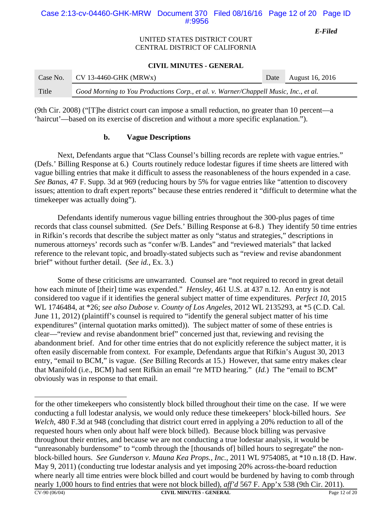## Case 2:13-cv-04460-GHK-MRW Document 370 Filed 08/16/16 Page 12 of 20 Page ID #:9956

*E-Filed*

## UNITED STATES DISTRICT COURT CENTRAL DISTRICT OF CALIFORNIA

#### **CIVIL MINUTES - GENERAL**

| Case No. | $CV$ 13-4460-GHK (MRWx)                                                              | Date August 16, 2016 |
|----------|--------------------------------------------------------------------------------------|----------------------|
| Title    | Good Morning to You Productions Corp., et al. v. Warner/Chappell Music, Inc., et al. |                      |

(9th Cir. 2008) ("[T]he district court can impose a small reduction, no greater than 10 percent—a 'haircut'—based on its exercise of discretion and without a more specific explanation.").

## **b. Vague Descriptions**

Next, Defendants argue that "Class Counsel's billing records are replete with vague entries." (Defs.' Billing Response at 6.) Courts routinely reduce lodestar figures if time sheets are littered with vague billing entries that make it difficult to assess the reasonableness of the hours expended in a case. *See Banas*, 47 F. Supp. 3d at 969 (reducing hours by 5% for vague entries like "attention to discovery issues; attention to draft expert reports" because these entries rendered it "difficult to determine what the timekeeper was actually doing").

Defendants identify numerous vague billing entries throughout the 300-plus pages of time records that class counsel submitted. (*See* Defs.' Billing Response at 6-8.) They identify 50 time entries in Rifkin's records that describe the subject matter as only "status and strategies," descriptions in numerous attorneys' records such as "confer w/B. Landes" and "reviewed materials" that lacked reference to the relevant topic, and broadly-stated subjects such as "review and revise abandonment brief" without further detail. (*See id.*, Ex. 3.)

Some of these criticisms are unwarranted. Counsel are "not required to record in great detail how each minute of [their] time was expended." *Hensley*, 461 U.S. at 437 n.12. An entry is not considered too vague if it identifies the general subject matter of time expenditures. *Perfect 10*, 2015 WL 1746484, at \*26; *see also Dubose v. County of Los Angeles*, 2012 WL 2135293, at \*5 (C.D. Cal. June 11, 2012) (plaintiff's counsel is required to "identify the general subject matter of his time expenditures" (internal quotation marks omitted)). The subject matter of some of these entries is clear—"review and revise abandonment brief" concerned just that, reviewing and revising the abandonment brief. And for other time entries that do not explicitly reference the subject matter, it is often easily discernable from context. For example, Defendants argue that Rifkin's August 30, 2013 entry, "email to BCM," is vague. (*See* Billing Records at 15.) However, that same entry makes clear that Manifold (i.e., BCM) had sent Rifkin an email "re MTD hearing." (*Id.*) The "email to BCM" obviously was in response to that email.

for the other timekeepers who consistently block billed throughout their time on the case. If we were conducting a full lodestar analysis, we would only reduce these timekeepers' block-billed hours. *See Welch*, 480 F.3d at 948 (concluding that district court erred in applying a 20% reduction to all of the requested hours when only about half were block billed). Because block billing was pervasive throughout their entries, and because we are not conducting a true lodestar analysis, it would be "unreasonably burdensome" to "comb through the [thousands of] billed hours to segregate" the nonblock-billed hours. *See Gunderson v. Mauna Kea Props., Inc.*, 2011 WL 9754085, at \*10 n.18 (D. Haw. May 9, 2011) (conducting true lodestar analysis and yet imposing 20% across-the-board reduction where nearly all time entries were block billed and court would be burdened by having to comb through nearly 1,000 hours to find entries that were not block billed), *aff'd* 567 F. App'x 538 (9th Cir. 2011).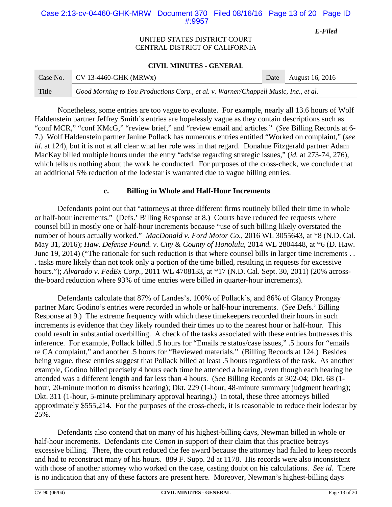## Case 2:13-cv-04460-GHK-MRW Document 370 Filed 08/16/16 Page 13 of 20 Page ID #:9957

*E-Filed*

## UNITED STATES DISTRICT COURT CENTRAL DISTRICT OF CALIFORNIA

### **CIVIL MINUTES - GENERAL**

| Case No. | $CV$ 13-4460-GHK (MRWx)                                                              | Date | August 16, 2016 |
|----------|--------------------------------------------------------------------------------------|------|-----------------|
| Title    | Good Morning to You Productions Corp., et al. v. Warner/Chappell Music, Inc., et al. |      |                 |

Nonetheless, some entries are too vague to evaluate. For example, nearly all 13.6 hours of Wolf Haldenstein partner Jeffrey Smith's entries are hopelessly vague as they contain descriptions such as "conf MCR," "conf KMcG," "review brief," and "review email and articles." (*See* Billing Records at 6- 7.) Wolf Haldenstein partner Janine Pollack has numerous entries entitled "Worked on complaint," (*see id.* at 124), but it is not at all clear what her role was in that regard. Donahue Fitzgerald partner Adam MacKay billed multiple hours under the entry "advise regarding strategic issues," (*id.* at 273-74, 276), which tells us nothing about the work he conducted. For purposes of the cross-check, we conclude that an additional 5% reduction of the lodestar is warranted due to vague billing entries.

## **c. Billing in Whole and Half-Hour Increments**

Defendants point out that "attorneys at three different firms routinely billed their time in whole or half-hour increments." (Defs.' Billing Response at 8.) Courts have reduced fee requests where counsel bill in mostly one or half-hour increments because "use of such billing likely overstated the number of hours actually worked." *MacDonald v. Ford Motor Co.*, 2016 WL 3055643, at \*8 (N.D. Cal. May 31, 2016); *Haw. Defense Found. v. City & County of Honolulu*, 2014 WL 2804448, at \*6 (D. Haw. June 19, 2014) ("The rationale for such reduction is that where counsel bills in larger time increments . . . tasks more likely than not took only a portion of the time billed, resulting in requests for excessive hours."); *Alvarado v. FedEx Corp.*, 2011 WL 4708133, at \*17 (N.D. Cal. Sept. 30, 2011) (20% acrossthe-board reduction where 93% of time entries were billed in quarter-hour increments).

Defendants calculate that 87% of Landes's, 100% of Pollack's, and 86% of Glancy Prongay partner Marc Godino's entries were recorded in whole or half-hour increments. (*See* Defs.' Billing Response at 9.) The extreme frequency with which these timekeepers recorded their hours in such increments is evidence that they likely rounded their times up to the nearest hour or half-hour. This could result in substantial overbilling. A check of the tasks associated with these entries buttresses this inference. For example, Pollack billed .5 hours for "Emails re status/case issues," .5 hours for "emails re CA complaint," and another .5 hours for "Reviewed materials." (Billing Records at 124.) Besides being vague, these entries suggest that Pollack billed at least .5 hours regardless of the task. As another example, Godino billed precisely 4 hours each time he attended a hearing, even though each hearing he attended was a different length and far less than 4 hours. (*See* Billing Records at 302-04; Dkt. 68 (1 hour, 20-minute motion to dismiss hearing); Dkt. 229 (1-hour, 48-minute summary judgment hearing); Dkt. 311 (1-hour, 5-minute preliminary approval hearing).) In total, these three attorneys billed approximately \$555,214. For the purposes of the cross-check, it is reasonable to reduce their lodestar by 25%.

Defendants also contend that on many of his highest-billing days, Newman billed in whole or half-hour increments. Defendants cite *Cotton* in support of their claim that this practice betrays excessive billing. There, the court reduced the fee award because the attorney had failed to keep records and had to reconstruct many of his hours. 889 F. Supp. 2d at 1178. His records were also inconsistent with those of another attorney who worked on the case, casting doubt on his calculations. *See id.* There is no indication that any of these factors are present here. Moreover, Newman's highest-billing days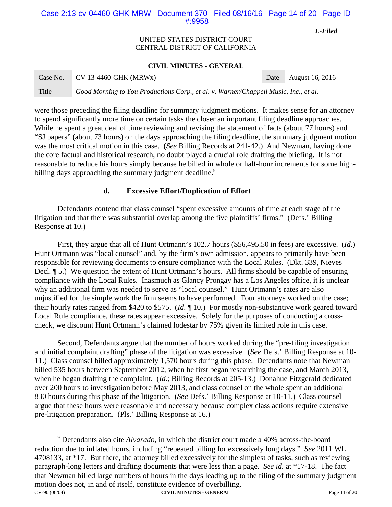# Case 2:13-cv-04460-GHK-MRW Document 370 Filed 08/16/16 Page 14 of 20 Page ID #:9958

*E-Filed*

## UNITED STATES DISTRICT COURT CENTRAL DISTRICT OF CALIFORNIA

## **CIVIL MINUTES - GENERAL**

| Case No. | $CV 13-4460-GHK (MRWx)$                                                              | Date | <b>August 16, 2016</b> |
|----------|--------------------------------------------------------------------------------------|------|------------------------|
| Title    | Good Morning to You Productions Corp., et al. v. Warner/Chappell Music, Inc., et al. |      |                        |

were those preceding the filing deadline for summary judgment motions. It makes sense for an attorney to spend significantly more time on certain tasks the closer an important filing deadline approaches. While he spent a great deal of time reviewing and revising the statement of facts (about 77 hours) and "SJ papers" (about 73 hours) on the days approaching the filing deadline, the summary judgment motion was the most critical motion in this case. (*See* Billing Records at 241-42.) And Newman, having done the core factual and historical research, no doubt played a crucial role drafting the briefing. It is not reasonable to reduce his hours simply because he billed in whole or half-hour increments for some highbilling days approaching the summary judgment deadline.<sup>9</sup>

# **d. Excessive Effort/Duplication of Effort**

Defendants contend that class counsel "spent excessive amounts of time at each stage of the litigation and that there was substantial overlap among the five plaintiffs' firms." (Defs.' Billing Response at 10.)

First, they argue that all of Hunt Ortmann's 102.7 hours (\$56,495.50 in fees) are excessive. (*Id.*) Hunt Ortmann was "local counsel" and, by the firm's own admission, appears to primarily have been responsible for reviewing documents to ensure compliance with the Local Rules. (Dkt. 339, Nieves Decl.  $\parallel$  5.) We question the extent of Hunt Ortmann's hours. All firms should be capable of ensuring compliance with the Local Rules. Inasmuch as Glancy Prongay has a Los Angeles office, it is unclear why an additional firm was needed to serve as "local counsel." Hunt Ortmann's rates are also unjustified for the simple work the firm seems to have performed. Four attorneys worked on the case; their hourly rates ranged from \$420 to \$575. (*Id.* ¶ 10.) For mostly non-substantive work geared toward Local Rule compliance, these rates appear excessive. Solely for the purposes of conducting a crosscheck, we discount Hunt Ortmann's claimed lodestar by 75% given its limited role in this case.

Second, Defendants argue that the number of hours worked during the "pre-filing investigation and initial complaint drafting" phase of the litigation was excessive. (*See* Defs.' Billing Response at 10- 11.) Class counsel billed approximately 1,570 hours during this phase. Defendants note that Newman billed 535 hours between September 2012, when he first began researching the case, and March 2013, when he began drafting the complaint. (*Id.*; Billing Records at 205-13.) Donahue Fitzgerald dedicated over 200 hours to investigation before May 2013, and class counsel on the whole spent an additional 830 hours during this phase of the litigation. (*See* Defs.' Billing Response at 10-11.) Class counsel argue that these hours were reasonable and necessary because complex class actions require extensive pre-litigation preparation. (Pls.' Billing Response at 16.)

<sup>9</sup> Defendants also cite *Alvarado*, in which the district court made a 40% across-the-board reduction due to inflated hours, including "repeated billing for excessively long days." *See* 2011 WL 4708133, at \*17. But there, the attorney billed excessively for the simplest of tasks, such as reviewing paragraph-long letters and drafting documents that were less than a page. *See id.* at \*17-18. The fact that Newman billed large numbers of hours in the days leading up to the filing of the summary judgment motion does not, in and of itself, constitute evidence of overbilling.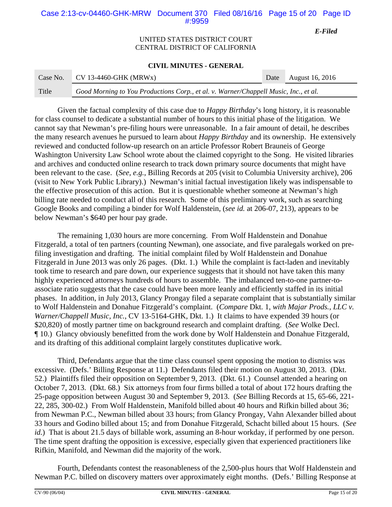## Case 2:13-cv-04460-GHK-MRW Document 370 Filed 08/16/16 Page 15 of 20 Page ID #:9959

*E-Filed*

## UNITED STATES DISTRICT COURT CENTRAL DISTRICT OF CALIFORNIA

### **CIVIL MINUTES - GENERAL**

| Case No. | CV 13-4460-GHK (MRWx)                                                                | Date August 16, 2016 |
|----------|--------------------------------------------------------------------------------------|----------------------|
| Title    | Good Morning to You Productions Corp., et al. v. Warner/Chappell Music, Inc., et al. |                      |

Given the factual complexity of this case due to *Happy Birthday*'s long history, it is reasonable for class counsel to dedicate a substantial number of hours to this initial phase of the litigation. We cannot say that Newman's pre-filing hours were unreasonable. In a fair amount of detail, he describes the many research avenues he pursued to learn about *Happy Birthday* and its ownership. He extensively reviewed and conducted follow-up research on an article Professor Robert Brauneis of George Washington University Law School wrote about the claimed copyright to the Song. He visited libraries and archives and conducted online research to track down primary source documents that might have been relevant to the case. (*See, e.g.*, Billing Records at 205 (visit to Columbia University archive), 206 (visit to New York Public Library).) Newman's initial factual investigation likely was indispensable to the effective prosecution of this action. But it is questionable whether someone at Newman's high billing rate needed to conduct all of this research. Some of this preliminary work, such as searching Google Books and compiling a binder for Wolf Haldenstein, (*see id.* at 206-07, 213), appears to be below Newman's \$640 per hour pay grade.

The remaining 1,030 hours are more concerning. From Wolf Haldenstein and Donahue Fitzgerald, a total of ten partners (counting Newman), one associate, and five paralegals worked on prefiling investigation and drafting. The initial complaint filed by Wolf Haldenstein and Donahue Fitzgerald in June 2013 was only 26 pages. (Dkt. 1.) While the complaint is fact-laden and inevitably took time to research and pare down, our experience suggests that it should not have taken this many highly experienced attorneys hundreds of hours to assemble. The imbalanced ten-to-one partner-toassociate ratio suggests that the case could have been more leanly and efficiently staffed in its initial phases. In addition, in July 2013, Glancy Prongay filed a separate complaint that is substantially similar to Wolf Haldenstein and Donahue Fitzgerald's complaint. (*Compare* Dkt. 1, *with Majar Prods., LLC v. Warner/Chappell Music, Inc.*, CV 13-5164-GHK, Dkt. 1.) It claims to have expended 39 hours (or \$20,820) of mostly partner time on background research and complaint drafting. (*See* Wolke Decl. ¶ 10.) Glancy obviously benefitted from the work done by Wolf Haldenstein and Donahue Fitzgerald, and its drafting of this additional complaint largely constitutes duplicative work.

Third, Defendants argue that the time class counsel spent opposing the motion to dismiss was excessive. (Defs.' Billing Response at 11.) Defendants filed their motion on August 30, 2013. (Dkt. 52.) Plaintiffs filed their opposition on September 9, 2013. (Dkt. 61.) Counsel attended a hearing on October 7, 2013. (Dkt. 68.) Six attorneys from four firms billed a total of about 172 hours drafting the 25-page opposition between August 30 and September 9, 2013. (*See* Billing Records at 15, 65-66, 221- 22, 285, 300-02.) From Wolf Haldenstein, Manifold billed about 40 hours and Rifkin billed about 36; from Newman P.C., Newman billed about 33 hours; from Glancy Prongay, Vahn Alexander billed about 33 hours and Godino billed about 15; and from Donahue Fitzgerald, Schacht billed about 15 hours. (*See id.*) That is about 21.5 days of billable work, assuming an 8-hour workday, if performed by one person. The time spent drafting the opposition is excessive, especially given that experienced practitioners like Rifkin, Manifold, and Newman did the majority of the work.

Fourth, Defendants contest the reasonableness of the 2,500-plus hours that Wolf Haldenstein and Newman P.C. billed on discovery matters over approximately eight months. (Defs.' Billing Response at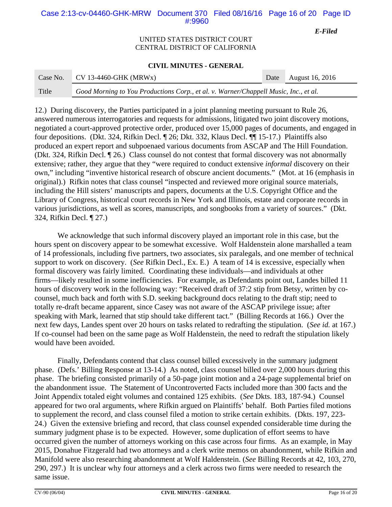# Case 2:13-cv-04460-GHK-MRW Document 370 Filed 08/16/16 Page 16 of 20 Page ID #:9960

*E-Filed*

## UNITED STATES DISTRICT COURT CENTRAL DISTRICT OF CALIFORNIA

### **CIVIL MINUTES - GENERAL**

| Case No. | $CV 13-4460-GHK (MRWx)$                                                              | Date August 16, 2016 |
|----------|--------------------------------------------------------------------------------------|----------------------|
| Title    | Good Morning to You Productions Corp., et al. v. Warner/Chappell Music, Inc., et al. |                      |

12.) During discovery, the Parties participated in a joint planning meeting pursuant to Rule 26, answered numerous interrogatories and requests for admissions, litigated two joint discovery motions, negotiated a court-approved protective order, produced over 15,000 pages of documents, and engaged in four depositions. (Dkt. 324, Rifkin Decl. ¶ 26; Dkt. 332, Klaus Decl. ¶¶ 15-17.) Plaintiffs also produced an expert report and subpoenaed various documents from ASCAP and The Hill Foundation. (Dkt. 324, Rifkin Decl. ¶ 26.) Class counsel do not contest that formal discovery was not abnormally extensive; rather, they argue that they "were required to conduct extensive *informal* discovery on their own," including "inventive historical research of obscure ancient documents." (Mot. at 16 (emphasis in original).) Rifkin notes that class counsel "inspected and reviewed more original source materials, including the Hill sisters' manuscripts and papers, documents at the U.S. Copyright Office and the Library of Congress, historical court records in New York and Illinois, estate and corporate records in various jurisdictions, as well as scores, manuscripts, and songbooks from a variety of sources." (Dkt. 324, Rifkin Decl. ¶ 27.)

We acknowledge that such informal discovery played an important role in this case, but the hours spent on discovery appear to be somewhat excessive. Wolf Haldenstein alone marshalled a team of 14 professionals, including five partners, two associates, six paralegals, and one member of technical support to work on discovery. (*See* Rifkin Decl., Ex. E.) A team of 14 is excessive, especially when formal discovery was fairly limited. Coordinating these individuals—and individuals at other firms—likely resulted in some inefficiencies. For example, as Defendants point out, Landes billed 11 hours of discovery work in the following way: "Received draft of 37:2 stip from Betsy, written by cocounsel, much back and forth with S.D. seeking background docs relating to the draft stip; need to totally re-draft became apparent, since Casey was not aware of the ASCAP privilege issue; after speaking with Mark, learned that stip should take different tact." (Billing Records at 166.) Over the next few days, Landes spent over 20 hours on tasks related to redrafting the stipulation. (*See id.* at 167.) If co-counsel had been on the same page as Wolf Haldenstein, the need to redraft the stipulation likely would have been avoided.

Finally, Defendants contend that class counsel billed excessively in the summary judgment phase. (Defs.' Billing Response at 13-14.) As noted, class counsel billed over 2,000 hours during this phase. The briefing consisted primarily of a 50-page joint motion and a 24-page supplemental brief on the abandonment issue. The Statement of Uncontroverted Facts included more than 300 facts and the Joint Appendix totaled eight volumes and contained 125 exhibits. (*See* Dkts. 183, 187-94.) Counsel appeared for two oral arguments, where Rifkin argued on Plaintiffs' behalf. Both Parties filed motions to supplement the record, and class counsel filed a motion to strike certain exhibits. (Dkts. 197, 223- 24.) Given the extensive briefing and record, that class counsel expended considerable time during the summary judgment phase is to be expected. However, some duplication of effort seems to have occurred given the number of attorneys working on this case across four firms. As an example, in May 2015, Donahue Fitzgerald had two attorneys and a clerk write memos on abandonment, while Rifkin and Manifold were also researching abandonment at Wolf Haldenstein. (*See* Billing Records at 42, 103, 270, 290, 297.) It is unclear why four attorneys and a clerk across two firms were needed to research the same issue.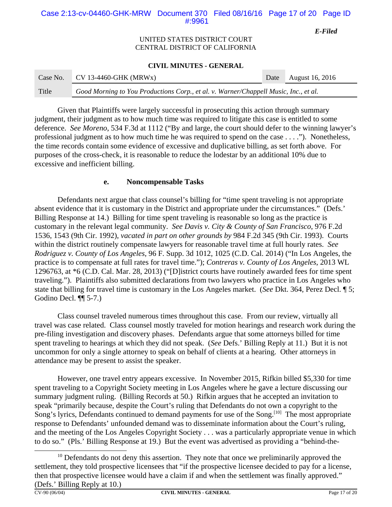# Case 2:13-cv-04460-GHK-MRW Document 370 Filed 08/16/16 Page 17 of 20 Page ID #:9961

*E-Filed*

## UNITED STATES DISTRICT COURT CENTRAL DISTRICT OF CALIFORNIA

## **CIVIL MINUTES - GENERAL**

| Case No. | $CV$ 13-4460-GHK (MRWx)                                                              | Date August 16, 2016 |
|----------|--------------------------------------------------------------------------------------|----------------------|
| Title    | Good Morning to You Productions Corp., et al. v. Warner/Chappell Music, Inc., et al. |                      |

Given that Plaintiffs were largely successful in prosecuting this action through summary judgment, their judgment as to how much time was required to litigate this case is entitled to some deference. *See Moreno*, 534 F.3d at 1112 ("By and large, the court should defer to the winning lawyer's professional judgment as to how much time he was required to spend on the case . . . ."). Nonetheless, the time records contain some evidence of excessive and duplicative billing, as set forth above. For purposes of the cross-check, it is reasonable to reduce the lodestar by an additional 10% due to excessive and inefficient billing.

## **e. Noncompensable Tasks**

Defendants next argue that class counsel's billing for "time spent traveling is not appropriate absent evidence that it is customary in the District and appropriate under the circumstances." (Defs.' Billing Response at 14.) Billing for time spent traveling is reasonable so long as the practice is customary in the relevant legal community. *See Davis v. City & County of San Francisco*, 976 F.2d 1536, 1543 (9th Cir. 1992), *vacated in part on other grounds by* 984 F.2d 345 (9th Cir. 1993). Courts within the district routinely compensate lawyers for reasonable travel time at full hourly rates. *See Rodriguez v. County of Los Angeles*, 96 F. Supp. 3d 1012, 1025 (C.D. Cal. 2014) ("In Los Angeles, the practice is to compensate at full rates for travel time."); *Contreras v. County of Los Angeles*, 2013 WL 1296763, at \*6 (C.D. Cal. Mar. 28, 2013) ("[D]istrict courts have routinely awarded fees for time spent traveling."). Plaintiffs also submitted declarations from two lawyers who practice in Los Angeles who state that billing for travel time is customary in the Los Angeles market. (*See* Dkt. 364, Perez Decl. ¶ 5; Godino Decl. ¶¶ 5-7.)

Class counsel traveled numerous times throughout this case. From our review, virtually all travel was case related. Class counsel mostly traveled for motion hearings and research work during the pre-filing investigation and discovery phases. Defendants argue that some attorneys billed for time spent traveling to hearings at which they did not speak. (*See* Defs.' Billing Reply at 11.) But it is not uncommon for only a single attorney to speak on behalf of clients at a hearing. Other attorneys in attendance may be present to assist the speaker.

However, one travel entry appears excessive. In November 2015, Rifkin billed \$5,330 for time spent traveling to a Copyright Society meeting in Los Angeles where he gave a lecture discussing our summary judgment ruling. (Billing Records at 50.) Rifkin argues that he accepted an invitation to speak "primarily because, despite the Court's ruling that Defendants do not own a copyright to the Song's lyrics, Defendants continued to demand payments for use of the Song.<sup>[10]</sup> The most appropriate response to Defendants' unfounded demand was to disseminate information about the Court's ruling, and the meeting of the Los Angeles Copyright Society . . . was a particularly appropriate venue in which to do so." (Pls.' Billing Response at 19.) But the event was advertised as providing a "behind-the-

 $10$  Defendants do not deny this assertion. They note that once we preliminarily approved the settlement, they told prospective licensees that "if the prospective licensee decided to pay for a license, then that prospective licensee would have a claim if and when the settlement was finally approved." (Defs.' Billing Reply at 10.)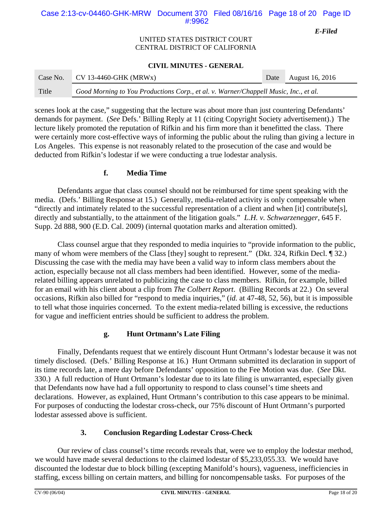# Case 2:13-cv-04460-GHK-MRW Document 370 Filed 08/16/16 Page 18 of 20 Page ID #:9962

*E-Filed*

## UNITED STATES DISTRICT COURT CENTRAL DISTRICT OF CALIFORNIA

### **CIVIL MINUTES - GENERAL**

| Case No. | $CV$ 13-4460-GHK (MRWx)                                                              | Date August 16, 2016 |
|----------|--------------------------------------------------------------------------------------|----------------------|
| Title    | Good Morning to You Productions Corp., et al. v. Warner/Chappell Music, Inc., et al. |                      |

scenes look at the case," suggesting that the lecture was about more than just countering Defendants' demands for payment. (*See* Defs.' Billing Reply at 11 (citing Copyright Society advertisement).) The lecture likely promoted the reputation of Rifkin and his firm more than it benefitted the class. There were certainly more cost-effective ways of informing the public about the ruling than giving a lecture in Los Angeles. This expense is not reasonably related to the prosecution of the case and would be deducted from Rifkin's lodestar if we were conducting a true lodestar analysis.

# **f. Media Time**

Defendants argue that class counsel should not be reimbursed for time spent speaking with the media. (Defs.' Billing Response at 15.) Generally, media-related activity is only compensable when "directly and intimately related to the successful representation of a client and when [it] contribute[s], directly and substantially, to the attainment of the litigation goals." *L.H. v. Schwarzenegger*, 645 F. Supp. 2d 888, 900 (E.D. Cal. 2009) (internal quotation marks and alteration omitted).

Class counsel argue that they responded to media inquiries to "provide information to the public, many of whom were members of the Class [they] sought to represent." (Dkt. 324, Rifkin Decl. 1 32.) Discussing the case with the media may have been a valid way to inform class members about the action, especially because not all class members had been identified. However, some of the mediarelated billing appears unrelated to publicizing the case to class members. Rifkin, for example, billed for an email with his client about a clip from *The Colbert Report*. (Billing Records at 22.) On several occasions, Rifkin also billed for "respond to media inquiries," (*id.* at 47-48, 52, 56), but it is impossible to tell what those inquiries concerned. To the extent media-related billing is excessive, the reductions for vague and inefficient entries should be sufficient to address the problem.

# **g. Hunt Ortmann's Late Filing**

Finally, Defendants request that we entirely discount Hunt Ortmann's lodestar because it was not timely disclosed. (Defs.' Billing Response at 16.) Hunt Ortmann submitted its declaration in support of its time records late, a mere day before Defendants' opposition to the Fee Motion was due. (*See* Dkt. 330.) A full reduction of Hunt Ortmann's lodestar due to its late filing is unwarranted, especially given that Defendants now have had a full opportunity to respond to class counsel's time sheets and declarations. However, as explained, Hunt Ortmann's contribution to this case appears to be minimal. For purposes of conducting the lodestar cross-check, our 75% discount of Hunt Ortmann's purported lodestar assessed above is sufficient.

# **3. Conclusion Regarding Lodestar Cross-Check**

Our review of class counsel's time records reveals that, were we to employ the lodestar method, we would have made several deductions to the claimed lodestar of \$5,233,055.33. We would have discounted the lodestar due to block billing (excepting Manifold's hours), vagueness, inefficiencies in staffing, excess billing on certain matters, and billing for noncompensable tasks. For purposes of the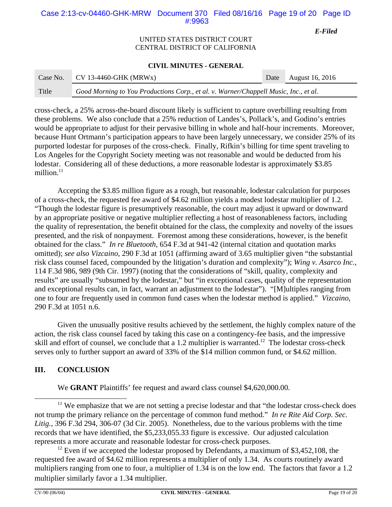# Case 2:13-cv-04460-GHK-MRW Document 370 Filed 08/16/16 Page 19 of 20 Page ID #:9963

*E-Filed*

## UNITED STATES DISTRICT COURT CENTRAL DISTRICT OF CALIFORNIA

### **CIVIL MINUTES - GENERAL**

| Case No. | $CV$ 13-4460-GHK (MRWx)                                                              | Date August 16, 2016 |
|----------|--------------------------------------------------------------------------------------|----------------------|
| Title    | Good Morning to You Productions Corp., et al. v. Warner/Chappell Music, Inc., et al. |                      |

cross-check, a 25% across-the-board discount likely is sufficient to capture overbilling resulting from these problems. We also conclude that a 25% reduction of Landes's, Pollack's, and Godino's entries would be appropriate to adjust for their pervasive billing in whole and half-hour increments. Moreover, because Hunt Ortmann's participation appears to have been largely unnecessary, we consider 25% of its purported lodestar for purposes of the cross-check. Finally, Rifkin's billing for time spent traveling to Los Angeles for the Copyright Society meeting was not reasonable and would be deducted from his lodestar. Considering all of these deductions, a more reasonable lodestar is approximately \$3.85 million. $11$ 

Accepting the \$3.85 million figure as a rough, but reasonable, lodestar calculation for purposes of a cross-check, the requested fee award of \$4.62 million yields a modest lodestar multiplier of 1.2. "Though the lodestar figure is presumptively reasonable, the court may adjust it upward or downward by an appropriate positive or negative multiplier reflecting a host of reasonableness factors, including the quality of representation, the benefit obtained for the class, the complexity and novelty of the issues presented, and the risk of nonpayment. Foremost among these considerations, however, is the benefit obtained for the class." *In re Bluetooth*, 654 F.3d at 941-42 (internal citation and quotation marks omitted); *see also Vizcaino*, 290 F.3d at 1051 (affirming award of 3.65 multiplier given "the substantial risk class counsel faced, compounded by the litigation's duration and complexity"); *Wing v. Asarco Inc.*, 114 F.3d 986, 989 (9th Cir. 1997) (noting that the considerations of "skill, quality, complexity and results" are usually "subsumed by the lodestar," but "in exceptional cases, quality of the representation and exceptional results can, in fact, warrant an adjustment to the lodestar")."[M]ultiples ranging from one to four are frequently used in common fund cases when the lodestar method is applied." *Vizcaino*, 290 F.3d at 1051 n.6.

Given the unusually positive results achieved by the settlement, the highly complex nature of the action, the risk class counsel faced by taking this case on a contingency-fee basis, and the impressive skill and effort of counsel, we conclude that a 1.2 multiplier is warranted.<sup>12</sup> The lodestar cross-check serves only to further support an award of 33% of the \$14 million common fund, or \$4.62 million.

# **III. CONCLUSION**

We **GRANT** Plaintiffs' fee request and award class counsel \$4,620,000.00.

<sup>&</sup>lt;sup>11</sup> We emphasize that we are not setting a precise lodestar and that "the lodestar cross-check does not trump the primary reliance on the percentage of common fund method." *In re Rite Aid Corp. Sec. Litig.*, 396 F.3d 294, 306-07 (3d Cir. 2005). Nonetheless, due to the various problems with the time records that we have identified, the \$5,233,055.33 figure is excessive. Our adjusted calculation represents a more accurate and reasonable lodestar for cross-check purposes.

<sup>&</sup>lt;sup>12</sup> Even if we accepted the lodestar proposed by Defendants, a maximum of \$3,452,108, the requested fee award of \$4.62 million represents a multiplier of only 1.34. As courts routinely award multipliers ranging from one to four, a multiplier of 1.34 is on the low end. The factors that favor a 1.2 multiplier similarly favor a 1.34 multiplier.